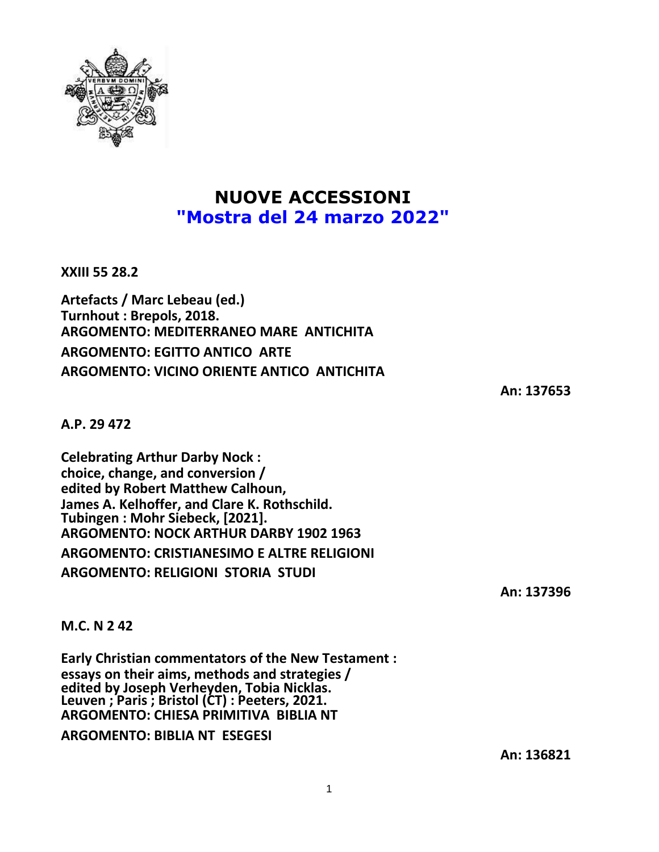

## **NUOVE ACCESSIONI "Mostra del 24 marzo 2022"**

**XXIII 55 28.2**

**Artefacts / Marc Lebeau (ed.) Turnhout : Brepols, 2018. ARGOMENTO: MEDITERRANEO MARE ANTICHITA ARGOMENTO: EGITTO ANTICO ARTE ARGOMENTO: VICINO ORIENTE ANTICO ANTICHITA**

**An: 137653**

**A.P. 29 472**

**Celebrating Arthur Darby Nock : choice, change, and conversion / edited by Robert Matthew Calhoun, James A. Kelhoffer, and Clare K. Rothschild. Tubingen : Mohr Siebeck, [2021]. ARGOMENTO: NOCK ARTHUR DARBY 1902 1963 ARGOMENTO: CRISTIANESIMO E ALTRE RELIGIONI ARGOMENTO: RELIGIONI STORIA STUDI**

**An: 137396**

**M.C. N 2 42**

**Early Christian commentators of the New Testament : essays on their aims, methods and strategies / edited by Joseph Verheyden, Tobia Nicklas. Leuven ; Paris ; Bristol (CT) : Peeters, 2021. ARGOMENTO: CHIESA PRIMITIVA BIBLIA NT ARGOMENTO: BIBLIA NT ESEGESI**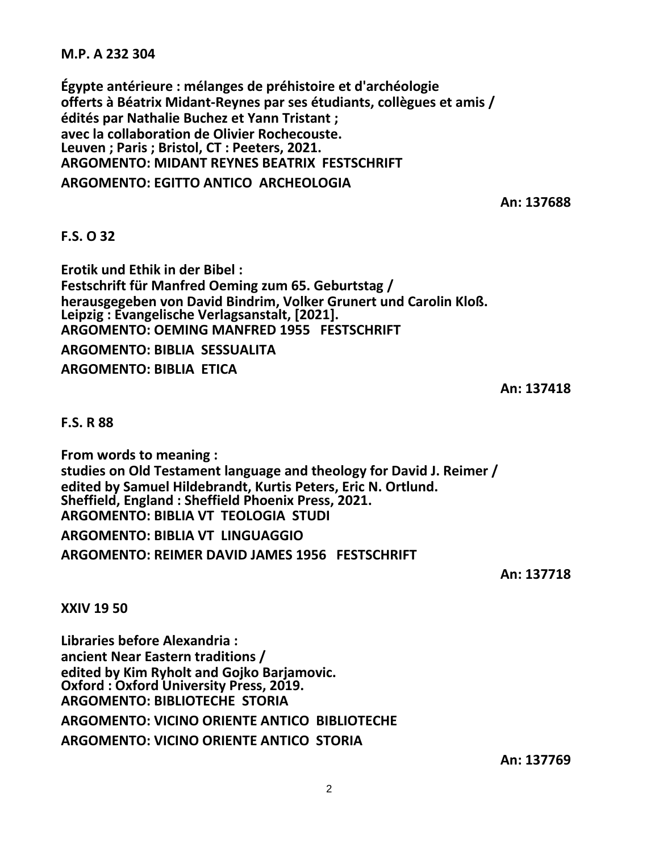**M.P. A 232 304**

**Égypte antérieure : mélanges de préhistoire et d'archéologie offerts à Béatrix Midant-Reynes par ses étudiants, collègues et amis / édités par Nathalie Buchez et Yann Tristant ; avec la collaboration de Olivier Rochecouste. Leuven ; Paris ; Bristol, CT : Peeters, 2021. ARGOMENTO: MIDANT REYNES BEATRIX FESTSCHRIFT**

**ARGOMENTO: EGITTO ANTICO ARCHEOLOGIA**

**An: 137688**

## **F.S. O 32**

**Erotik und Ethik in der Bibel : Festschrift für Manfred Oeming zum 65. Geburtstag / herausgegeben von David Bindrim, Volker Grunert und Carolin Kloß. Leipzig : Evangelische Verlagsanstalt, [2021]. ARGOMENTO: OEMING MANFRED 1955 FESTSCHRIFT**

**ARGOMENTO: BIBLIA SESSUALITA**

**ARGOMENTO: BIBLIA ETICA**

**An: 137418**

**F.S. R 88**

**From words to meaning : studies on Old Testament language and theology for David J. Reimer / edited by Samuel Hildebrandt, Kurtis Peters, Eric N. Ortlund. Sheffield, England : Sheffield Phoenix Press, 2021. ARGOMENTO: BIBLIA VT TEOLOGIA STUDI**

**ARGOMENTO: BIBLIA VT LINGUAGGIO**

**ARGOMENTO: REIMER DAVID JAMES 1956 FESTSCHRIFT**

**An: 137718**

**XXIV 19 50**

**Libraries before Alexandria : ancient Near Eastern traditions / edited by Kim Ryholt and Gojko Barjamovic. Oxford : Oxford University Press, 2019. ARGOMENTO: BIBLIOTECHE STORIA ARGOMENTO: VICINO ORIENTE ANTICO BIBLIOTECHE ARGOMENTO: VICINO ORIENTE ANTICO STORIA**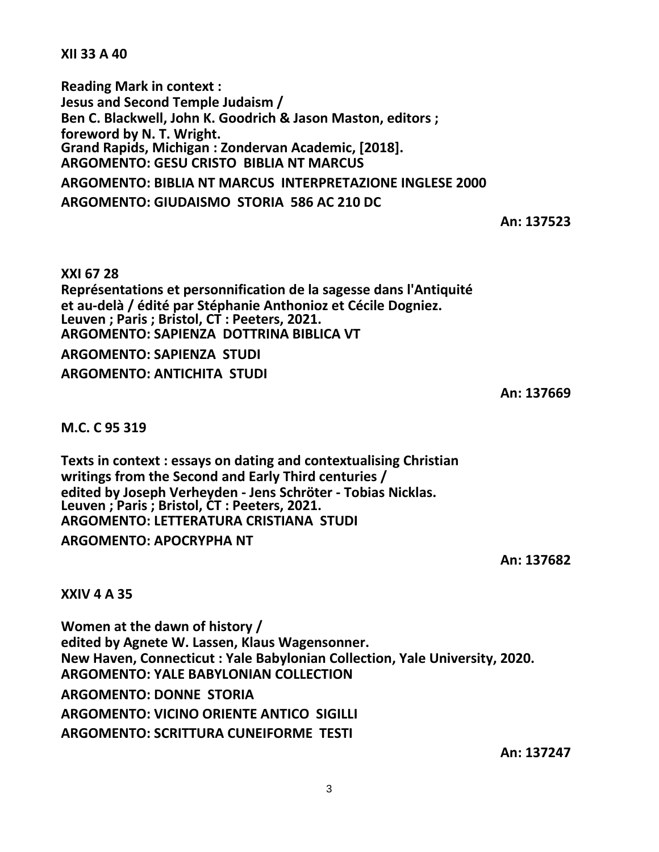**XII 33 A 40**

**Reading Mark in context : Jesus and Second Temple Judaism / Ben C. Blackwell, John K. Goodrich & Jason Maston, editors ; foreword by N. T. Wright. Grand Rapids, Michigan : Zondervan Academic, [2018]. ARGOMENTO: GESU CRISTO BIBLIA NT MARCUS ARGOMENTO: BIBLIA NT MARCUS INTERPRETAZIONE INGLESE 2000**

**ARGOMENTO: GIUDAISMO STORIA 586 AC 210 DC**

**An: 137523**

**XXI 67 28 Représentations et personnification de la sagesse dans l'Antiquité et au-delà / édité par Stéphanie Anthonioz et Cécile Dogniez. Leuven ; Paris ; Bristol, CT : Peeters, 2021. ARGOMENTO: SAPIENZA DOTTRINA BIBLICA VT ARGOMENTO: SAPIENZA STUDI ARGOMENTO: ANTICHITA STUDI**

**An: 137669**

## **M.C. C 95 319**

**Texts in context : essays on dating and contextualising Christian writings from the Second and Early Third centuries / edited by Joseph Verheyden - Jens Schröter - Tobias Nicklas. Leuven ; Paris ; Bristol, CT : Peeters, 2021. ARGOMENTO: LETTERATURA CRISTIANA STUDI**

**ARGOMENTO: APOCRYPHA NT**

**An: 137682**

**XXIV 4 A 35**

**Women at the dawn of history / edited by Agnete W. Lassen, Klaus Wagensonner. New Haven, Connecticut : Yale Babylonian Collection, Yale University, 2020. ARGOMENTO: YALE BABYLONIAN COLLECTION ARGOMENTO: DONNE STORIA ARGOMENTO: VICINO ORIENTE ANTICO SIGILLI ARGOMENTO: SCRITTURA CUNEIFORME TESTI**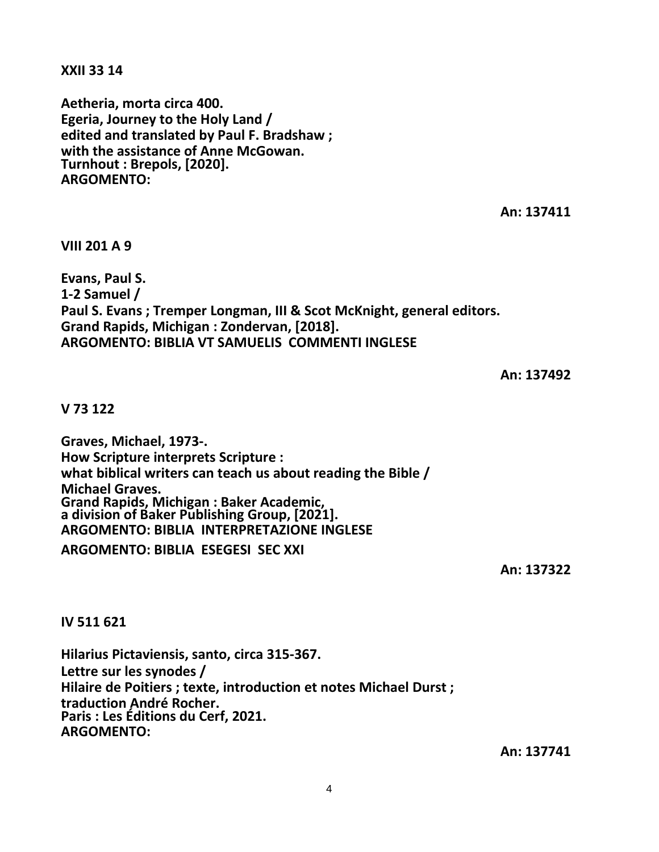**XXII 33 14**

**Aetheria, morta circa 400. Egeria, Journey to the Holy Land / edited and translated by Paul F. Bradshaw ; with the assistance of Anne McGowan. Turnhout : Brepols, [2020]. ARGOMENTO:**

**An: 137411**

**VIII 201 A 9**

**Evans, Paul S. 1-2 Samuel / Paul S. Evans ; Tremper Longman, III & Scot McKnight, general editors. Grand Rapids, Michigan : Zondervan, [2018]. ARGOMENTO: BIBLIA VT SAMUELIS COMMENTI INGLESE**

**An: 137492**

**V 73 122**

**Graves, Michael, 1973-. How Scripture interprets Scripture : what biblical writers can teach us about reading the Bible / Michael Graves. Grand Rapids, Michigan : Baker Academic, a division of Baker Publishing Group, [2021]. ARGOMENTO: BIBLIA INTERPRETAZIONE INGLESE**

**ARGOMENTO: BIBLIA ESEGESI SEC XXI**

**An: 137322**

**IV 511 621**

**Hilarius Pictaviensis, santo, circa 315-367. Lettre sur les synodes / Hilaire de Poitiers ; texte, introduction et notes Michael Durst ; traduction André Rocher. Paris : Les Éditions du Cerf, 2021. ARGOMENTO:**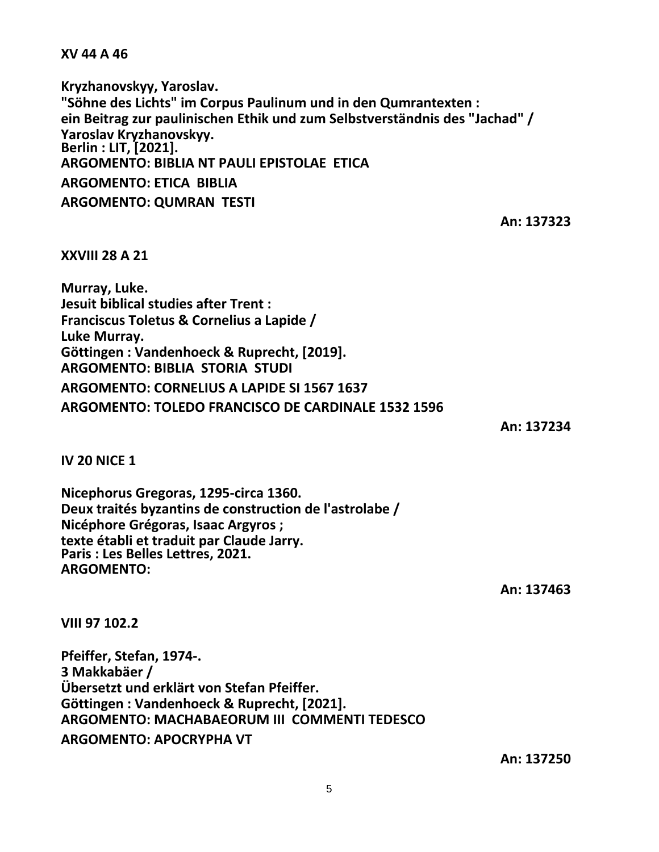**XV 44 A 46**

**Kryzhanovskyy, Yaroslav. "Söhne des Lichts" im Corpus Paulinum und in den Qumrantexten : ein Beitrag zur paulinischen Ethik und zum Selbstverständnis des "Jachad" / Yaroslav Kryzhanovskyy. Berlin : LIT, [2021]. ARGOMENTO: BIBLIA NT PAULI EPISTOLAE ETICA ARGOMENTO: ETICA BIBLIA ARGOMENTO: QUMRAN TESTI**

**An: 137323**

**XXVIII 28 A 21**

**Murray, Luke. Jesuit biblical studies after Trent : Franciscus Toletus & Cornelius a Lapide / Luke Murray. Göttingen : Vandenhoeck & Ruprecht, [2019]. ARGOMENTO: BIBLIA STORIA STUDI ARGOMENTO: CORNELIUS A LAPIDE SI 1567 1637 ARGOMENTO: TOLEDO FRANCISCO DE CARDINALE 1532 1596**

**An: 137234**

**IV 20 NICE 1**

**Nicephorus Gregoras, 1295-circa 1360. Deux traités byzantins de construction de l'astrolabe / Nicéphore Grégoras, Isaac Argyros ; texte établi et traduit par Claude Jarry. Paris : Les Belles Lettres, 2021. ARGOMENTO:**

**An: 137463**

**VIII 97 102.2**

**Pfeiffer, Stefan, 1974-. 3 Makkabäer / Übersetzt und erklärt von Stefan Pfeiffer. Göttingen : Vandenhoeck & Ruprecht, [2021]. ARGOMENTO: MACHABAEORUM III COMMENTI TEDESCO ARGOMENTO: APOCRYPHA VT**